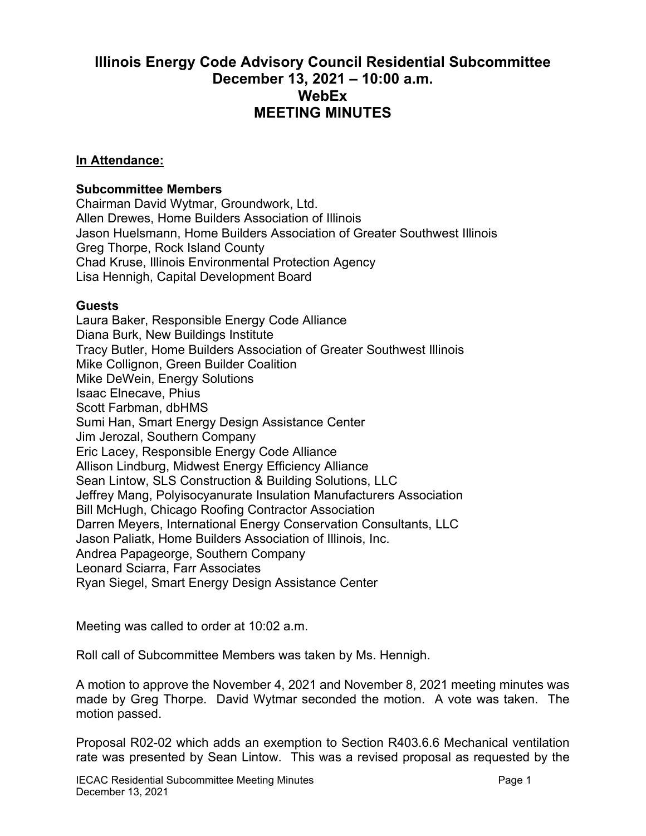## **Illinois Energy Code Advisory Council Residential Subcommittee December 13, 2021 – 10:00 a.m. WebEx MEETING MINUTES**

## **In Attendance:**

## **Subcommittee Members**

Chairman David Wytmar, Groundwork, Ltd. Allen Drewes, Home Builders Association of Illinois Jason Huelsmann, Home Builders Association of Greater Southwest Illinois Greg Thorpe, Rock Island County Chad Kruse, Illinois Environmental Protection Agency Lisa Hennigh, Capital Development Board

## **Guests**

Laura Baker, Responsible Energy Code Alliance Diana Burk, New Buildings Institute Tracy Butler, Home Builders Association of Greater Southwest Illinois Mike Collignon, Green Builder Coalition Mike DeWein, Energy Solutions Isaac Elnecave, Phius Scott Farbman, dbHMS Sumi Han, Smart Energy Design Assistance Center Jim Jerozal, Southern Company Eric Lacey, Responsible Energy Code Alliance Allison Lindburg, Midwest Energy Efficiency Alliance Sean Lintow, SLS Construction & Building Solutions, LLC Jeffrey Mang, Polyisocyanurate Insulation Manufacturers Association Bill McHugh, Chicago Roofing Contractor Association Darren Meyers, International Energy Conservation Consultants, LLC Jason Paliatk, Home Builders Association of Illinois, Inc. Andrea Papageorge, Southern Company Leonard Sciarra, Farr Associates Ryan Siegel, Smart Energy Design Assistance Center

Meeting was called to order at 10:02 a.m.

Roll call of Subcommittee Members was taken by Ms. Hennigh.

A motion to approve the November 4, 2021 and November 8, 2021 meeting minutes was made by Greg Thorpe. David Wytmar seconded the motion. A vote was taken. The motion passed.

Proposal R02-02 which adds an exemption to Section R403.6.6 Mechanical ventilation rate was presented by Sean Lintow. This was a revised proposal as requested by the